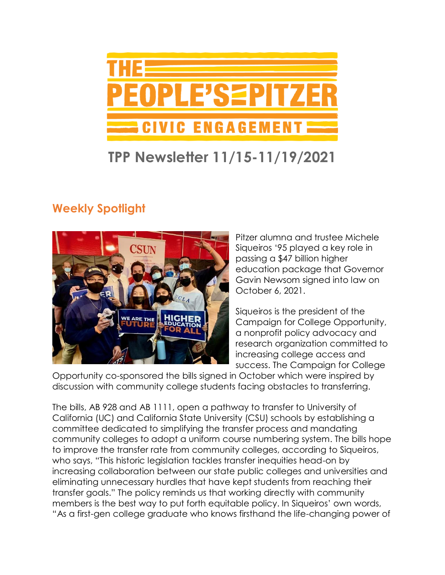

## **TPP Newsletter 11/15-11/19/2021**

## **Weekly Spotlight**



Pitzer alumna and trustee Michele Siqueiros '95 played a key role in passing a \$47 billion higher education package that Governor Gavin Newsom signed into law on October 6, 2021.

Siqueiros is the president of the Campaign for College Opportunity, a nonprofit policy advocacy and research organization committed to increasing college access and success. The Campaign for College

Opportunity co-sponsored the bills signed in October which were inspired by discussion with community college students facing obstacles to transferring.

The bills, AB 928 and AB 1111, open a pathway to transfer to University of California (UC) and California State University (CSU) schools by establishing a committee dedicated to simplifying the transfer process and mandating community colleges to adopt a uniform course numbering system. The bills hope to improve the transfer rate from community colleges, according to Siqueiros, who says, "This historic legislation tackles transfer inequities head-on by increasing collaboration between our state public colleges and universities and eliminating unnecessary hurdles that have kept students from reaching their transfer goals." The policy reminds us that working directly with community members is the best way to put forth equitable policy. In Siqueiros' own words, "As a first-gen college graduate who knows firsthand the life-changing power of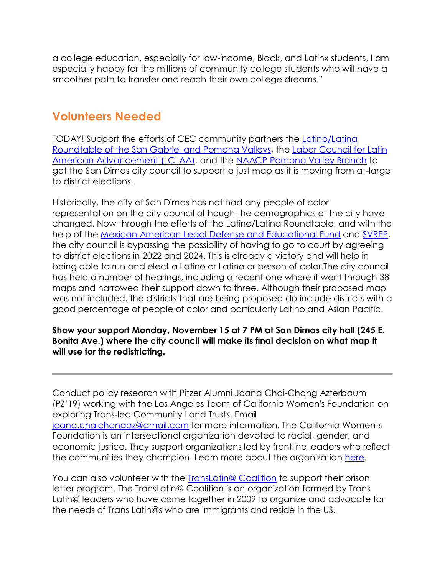a college education, especially for low-income, Black, and Latinx students, I am especially happy for the millions of community college students who will have a smoother path to transfer and reach their own college dreams."

#### **Volunteers Needed**

TODAY! Support the efforts of CEC community partners the [Latino/Latina](https://www.latinolatinaroundtable.org/)  [Roundtable of the San Gabriel and Pomona Valleys,](https://www.latinolatinaroundtable.org/) the [Labor Council for Latin](https://lclaa.org/)  [American Advancement \(LCLAA\),](https://lclaa.org/) and the [NAACP Pomona Valley Branch](https://www.naacp-pv.org/) to get the San Dimas city council to support a just map as it is moving from at-large to district elections.

Historically, the city of San Dimas has not had any people of color representation on the city council although the demographics of the city have changed. Now through the efforts of the Latino/Latina Roundtable, and with the help of the [Mexican American Legal Defense](https://www.maldef.org/) and Educational Fund and [SVREP,](https://www.svrep.org/) the city council is bypassing the possibility of having to go to court by agreeing to district elections in 2022 and 2024. This is already a victory and will help in being able to run and elect a Latino or Latina or person of color.The city council has held a number of hearings, including a recent one where it went through 38 maps and narrowed their support down to three. Although their proposed map was not included, the districts that are being proposed do include districts with a good percentage of people of color and particularly Latino and Asian Pacific.

#### **Show your support Monday, November 15 at 7 PM at San Dimas city hall (245 E. Bonita Ave.) where the city council will make its final decision on what map it will use for the redistricting.**

Conduct policy research with Pitzer Alumni Joana Chai-Chang Azterbaum (PZ'19) working with the Los Angeles Team of California Women's Foundation on exploring Trans-led Community Land Trusts. Email [joana.chaichangaz@gmail.com](mailto:joana.chaichangaz@gmail.com) for more information. The California Women's Foundation is an intersectional organization devoted to racial, gender, and economic justice. They support organizations led by frontline leaders who reflect the communities they champion. Learn more about the organization [here.](https://womensfoundca.org/)

You can also volunteer with the [TransLatin@ Coalition](https://www.translatinacoalition.org/) to support their prison letter program. The TransLatin@ Coalition is an organization formed by Trans Latin@ leaders who have come together in 2009 to organize and advocate for the needs of Trans Latin@s who are immigrants and reside in the US.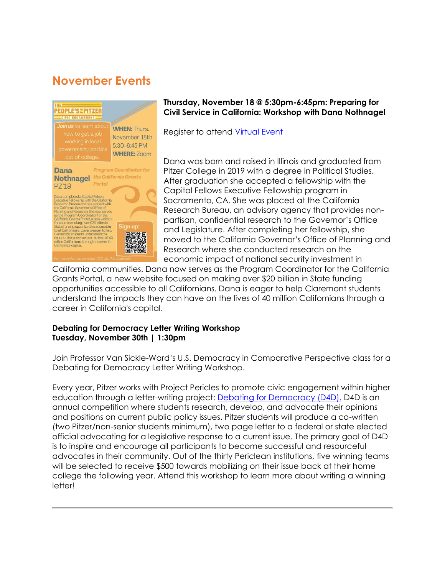## **November Events**



#### **Thursday, November 18 @ 5:30pm-6:45pm: Preparing for Civil Service in California: Workshop with Dana Nothnagel**

Register to attend [Virtual Event](https://pitzer.zoom.us/meeting/register/tZ0qduyprTIiG92rooA7fQbXoUUFmreBoidw)

Dana was born and raised in Illinois and graduated from Pitzer College in 2019 with a degree in Political Studies. After graduation she accepted a fellowship with the Capital Fellows Executive Fellowship program in Sacramento, CA. She was placed at the California Research Bureau, an advisory agency that provides nonpartisan, confidential research to the Governor's Office and Legislature. After completing her fellowship, she moved to the California Governor's Office of Planning and Research where she conducted research on the economic impact of national security investment in

California communities. Dana now serves as the Program Coordinator for the California Grants Portal, a new website focused on making over \$20 billion in State funding opportunities accessible to all Californians. Dana is eager to help Claremont students understand the impacts they can have on the lives of 40 million Californians through a career in California's capital.

#### **Debating for Democracy Letter Writing Workshop Tuesday, November 30th | 1:30pm**

Join Professor Van Sickle-Ward's U.S. Democracy in Comparative Perspective class for a Debating for Democracy Letter Writing Workshop.

Every year, Pitzer works with Project Pericles to promote civic engagement within higher education through a letter-writing project: [Debating for Democracy \(D4D\).](https://www.pitzer.edu/cec/community-pillars/peoples-pitzer/debating-democracy/) D4D is an annual competition where students research, develop, and advocate their opinions and positions on current public policy issues. Pitzer students will produce a co-written (two Pitzer/non-senior students minimum), two page letter to a federal or state elected official advocating for a legislative response to a current issue. The primary goal of D4D is to inspire and encourage all participants to become successful and resourceful advocates in their community. Out of the thirty Periclean institutions, five winning teams will be selected to receive \$500 towards mobilizing on their issue back at their home college the following year. Attend this workshop to learn more about writing a winning letter!